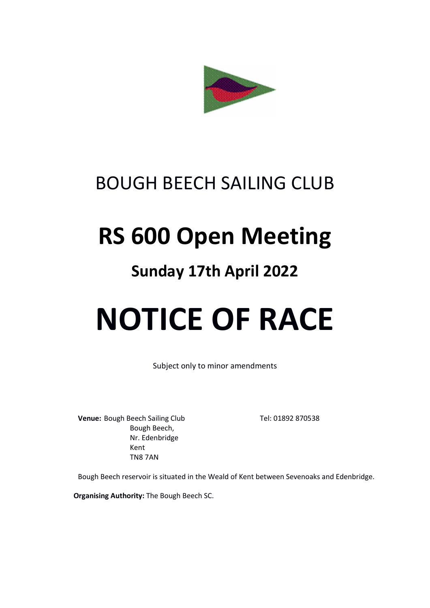

## BOUGH BEECH SAILING CLUB

## RS 600 Open Meeting

### Sunday 17th April 2022

# NOTICE OF RACE

Subject only to minor amendments

Venue: Bough Beech Sailing Club Tel: 01892 870538 Bough Beech, Nr. Edenbridge Kent TN8 7AN

Bough Beech reservoir is situated in the Weald of Kent between Sevenoaks and Edenbridge.

Organising Authority: The Bough Beech SC.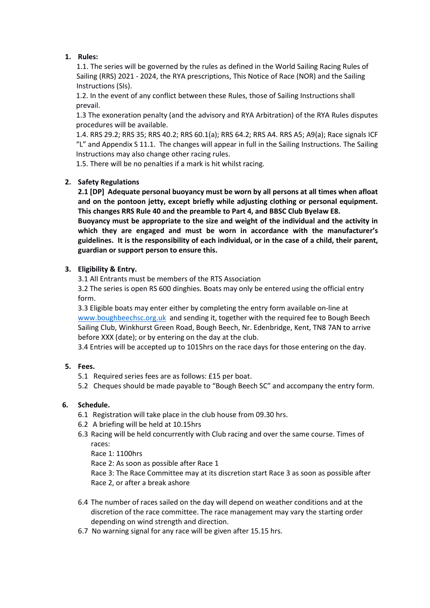#### 1. Rules:

1.1. The series will be governed by the rules as defined in the World Sailing Racing Rules of Sailing (RRS) 2021 - 2024, the RYA prescriptions, This Notice of Race (NOR) and the Sailing Instructions (SIs).

1.2. In the event of any conflict between these Rules, those of Sailing Instructions shall prevail.

1.3 The exoneration penalty (and the advisory and RYA Arbitration) of the RYA Rules disputes procedures will be available.

1.4. RRS 29.2; RRS 35; RRS 40.2; RRS 60.1(a); RRS 64.2; RRS A4. RRS A5; A9(a); Race signals ICF "L" and Appendix S 11.1. The changes will appear in full in the Sailing Instructions. The Sailing Instructions may also change other racing rules.

1.5. There will be no penalties if a mark is hit whilst racing.

#### 2. Safety Regulations

2.1 [DP] Adequate personal buoyancy must be worn by all persons at all times when afloat and on the pontoon jetty, except briefly while adjusting clothing or personal equipment. This changes RRS Rule 40 and the preamble to Part 4, and BBSC Club Byelaw E8.

Buoyancy must be appropriate to the size and weight of the individual and the activity in which they are engaged and must be worn in accordance with the manufacturer's guidelines. It is the responsibility of each individual, or in the case of a child, their parent, guardian or support person to ensure this.

#### 3. Eligibility & Entry.

3.1 All Entrants must be members of the RTS Association

3.2 The series is open RS 600 dinghies. Boats may only be entered using the official entry form.

3.3 Eligible boats may enter either by completing the entry form available on-line at www.boughbeechsc.org.uk and sending it, together with the required fee to Bough Beech Sailing Club, Winkhurst Green Road, Bough Beech, Nr. Edenbridge, Kent, TN8 7AN to arrive before XXX (date); or by entering on the day at the club.

3.4 Entries will be accepted up to 1015hrs on the race days for those entering on the day.

#### 5. Fees.

- 5.1 Required series fees are as follows: £15 per boat.
- 5.2 Cheques should be made payable to "Bough Beech SC" and accompany the entry form.

#### 6. Schedule.

- 6.1 Registration will take place in the club house from 09.30 hrs.
- 6.2 A briefing will be held at 10.15hrs
- 6.3 Racing will be held concurrently with Club racing and over the same course. Times of races:

Race 1: 1100hrs

Race 2: As soon as possible after Race 1

Race 3: The Race Committee may at its discretion start Race 3 as soon as possible after Race 2, or after a break ashore

- 6.4 The number of races sailed on the day will depend on weather conditions and at the discretion of the race committee. The race management may vary the starting order depending on wind strength and direction.
- 6.7 No warning signal for any race will be given after 15.15 hrs.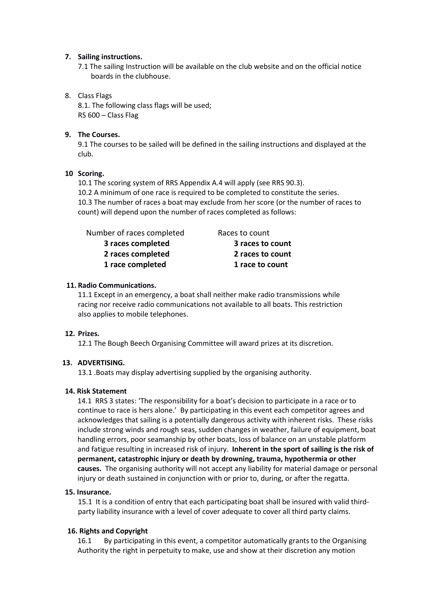#### 7. Sailing instructions.

7.1 The sailing Instruction will be available on the club website and on the official notice boards in the clubhouse.

#### 8. Class Flags

 8.1. The following class flags will be used; RS 600 – Class Flag

#### 9. The Courses.

9.1 The courses to be sailed will be defined in the sailing instructions and displayed at the club.

#### 10 Scoring.

10.1 The scoring system of RRS Appendix A.4 will apply (see RRS 90.3). 10.2 A minimum of one race is required to be completed to constitute the series. 10.3 The number of races a boat may exclude from her score (or the number of races to count) will depend upon the number of races completed as follows:

| Number of races completed | Races to count   |
|---------------------------|------------------|
| 3 races completed         | 3 races to count |
| 2 races completed         | 2 races to count |
| 1 race completed          | 1 race to count  |

#### 11. Radio Communications.

11.1 Except in an emergency, a boat shall neither make radio transmissions while racing nor receive radio communications not available to all boats. This restriction also applies to mobile telephones.

#### 12. Prizes.

12.1 The Bough Beech Organising Committee will award prizes at its discretion.

#### 13. ADVERTISING.

13.1 .Boats may display advertising supplied by the organising authority.

#### 14. Risk Statement

14.1 RRS 3 states: 'The responsibility for a boat's decision to participate in a race or to continue to race is hers alone.' By participating in this event each competitor agrees and acknowledges that sailing is a potentially dangerous activity with inherent risks. These risks include strong winds and rough seas, sudden changes in weather, failure of equipment, boat handling errors, poor seamanship by other boats, loss of balance on an unstable platform and fatigue resulting in increased risk of injury. Inherent in the sport of sailing is the risk of permanent, catastrophic injury or death by drowning, trauma, hypothermia or other causes. The organising authority will not accept any liability for material damage or personal injury or death sustained in conjunction with or prior to, during, or after the regatta.

#### 15. Insurance.

15.1 It is a condition of entry that each participating boat shall be insured with valid thirdparty liability insurance with a level of cover adequate to cover all third party claims.

#### 16. Rights and Copyright

16.1 By participating in this event, a competitor automatically grants to the Organising Authority the right in perpetuity to make, use and show at their discretion any motion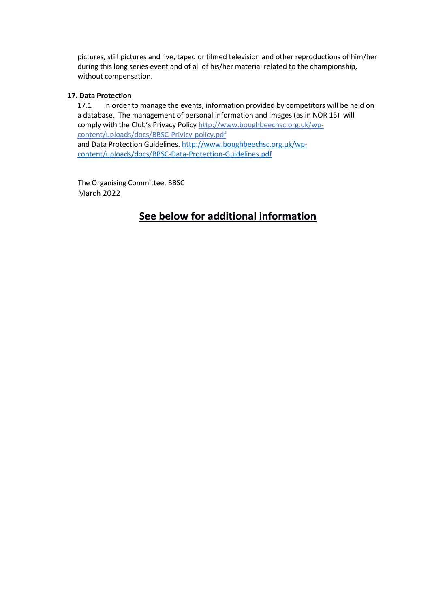pictures, still pictures and live, taped or filmed television and other reproductions of him/her during this long series event and of all of his/her material related to the championship, without compensation.

#### 17. Data Protection

17.1 In order to manage the events, information provided by competitors will be held on a database. The management of personal information and images (as in NOR 15) will comply with the Club's Privacy Policy http://www.boughbeechsc.org.uk/wpcontent/uploads/docs/BBSC-Privicy-policy.pdf and Data Protection Guidelines. http://www.boughbeechsc.org.uk/wpcontent/uploads/docs/BBSC-Data-Protection-Guidelines.pdf

The Organising Committee, BBSC March 2022

#### See below for additional information